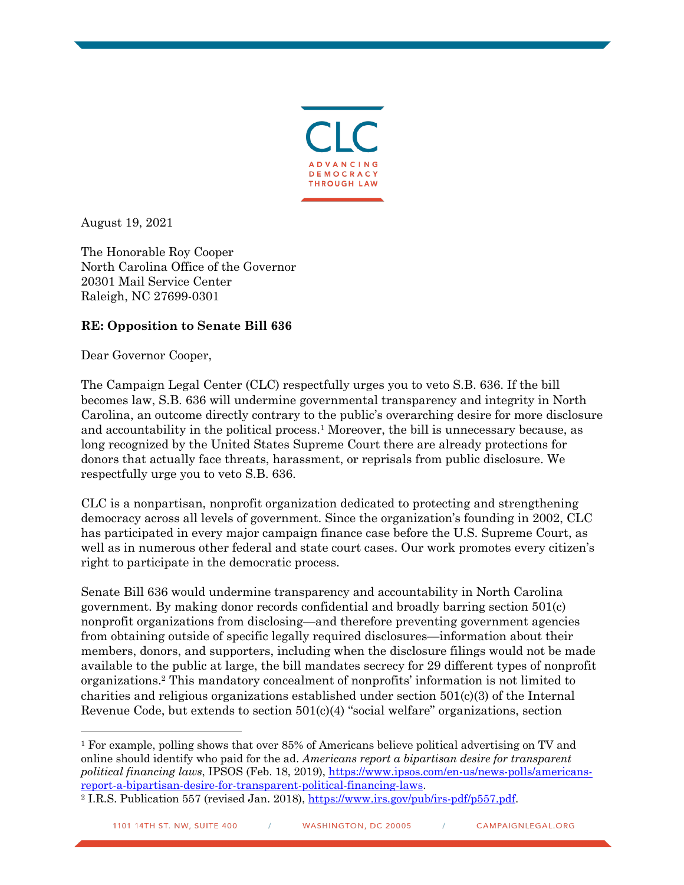

August 19, 2021

The Honorable Roy Cooper North Carolina Office of the Governor 20301 Mail Service Center Raleigh, NC 27699-0301

## **RE: Opposition to Senate Bill 636**

Dear Governor Cooper,

The Campaign Legal Center (CLC) respectfully urges you to veto S.B. 636. If the bill becomes law, S.B. 636 will undermine governmental transparency and integrity in North Carolina, an outcome directly contrary to the public's overarching desire for more disclosure and accountability in the political process.<sup>1</sup> Moreover, the bill is unnecessary because, as long recognized by the United States Supreme Court there are already protections for donors that actually face threats, harassment, or reprisals from public disclosure. We respectfully urge you to veto S.B. 636.

CLC is a nonpartisan, nonprofit organization dedicated to protecting and strengthening democracy across all levels of government. Since the organization's founding in 2002, CLC has participated in every major campaign finance case before the U.S. Supreme Court, as well as in numerous other federal and state court cases. Our work promotes every citizen's right to participate in the democratic process.

Senate Bill 636 would undermine transparency and accountability in North Carolina government. By making donor records confidential and broadly barring section 501(c) nonprofit organizations from disclosing—and therefore preventing government agencies from obtaining outside of specific legally required disclosures—information about their members, donors, and supporters, including when the disclosure filings would not be made available to the public at large, the bill mandates secrecy for 29 different types of nonprofit organizations.2 This mandatory concealment of nonprofits' information is not limited to charities and religious organizations established under section  $501(c)(3)$  of the Internal Revenue Code, but extends to section  $501(c)(4)$  "social welfare" organizations, section

<sup>1</sup> For example, polling shows that over 85% of Americans believe political advertising on TV and online should identify who paid for the ad. *Americans report a bipartisan desire for transparent political financing laws*, IPSOS (Feb. 18, 2019), https://www.ipsos.com/en-us/news-polls/americansreport-a-bipartisan-desire-for-transparent-political-financing-laws. 2 I.R.S. Publication 557 (revised Jan. 2018), https://www.irs.gov/pub/irs-pdf/p557.pdf.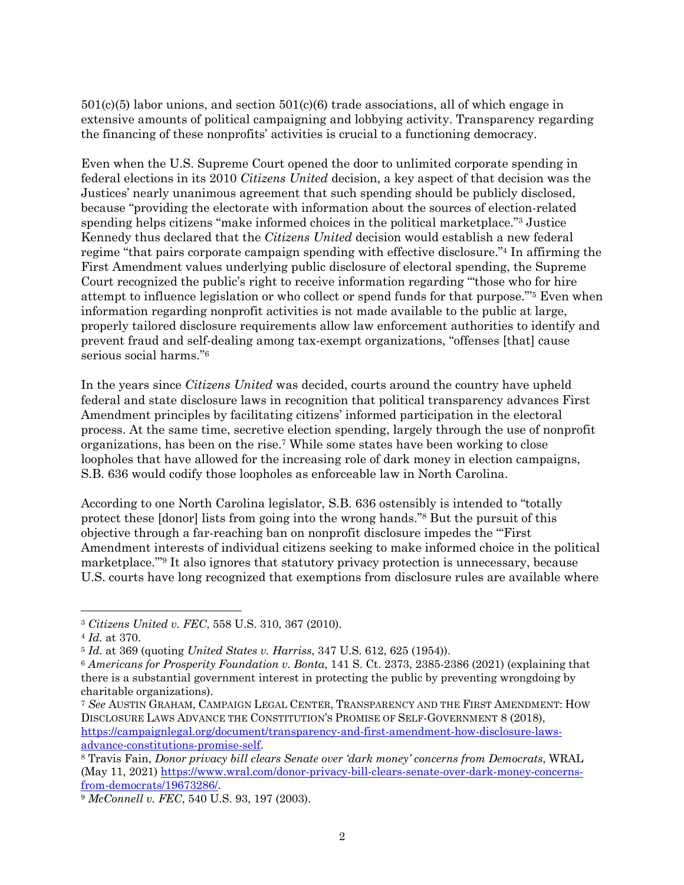501(c)(5) labor unions, and section 501(c)(6) trade associations, all of which engage in extensive amounts of political campaigning and lobbying activity. Transparency regarding the financing of these nonprofits' activities is crucial to a functioning democracy.

Even when the U.S. Supreme Court opened the door to unlimited corporate spending in federal elections in its 2010 *Citizens United* decision, a key aspect of that decision was the Justices' nearly unanimous agreement that such spending should be publicly disclosed, because "providing the electorate with information about the sources of election-related spending helps citizens "make informed choices in the political marketplace."3 Justice Kennedy thus declared that the *Citizens United* decision would establish a new federal regime "that pairs corporate campaign spending with effective disclosure."4 In affirming the First Amendment values underlying public disclosure of electoral spending, the Supreme Court recognized the public's right to receive information regarding '"those who for hire attempt to influence legislation or who collect or spend funds for that purpose."'5 Even when information regarding nonprofit activities is not made available to the public at large, properly tailored disclosure requirements allow law enforcement authorities to identify and prevent fraud and self-dealing among tax-exempt organizations, "offenses [that] cause serious social harms."6

In the years since *Citizens United* was decided, courts around the country have upheld federal and state disclosure laws in recognition that political transparency advances First Amendment principles by facilitating citizens' informed participation in the electoral process. At the same time, secretive election spending, largely through the use of nonprofit organizations, has been on the rise.7 While some states have been working to close loopholes that have allowed for the increasing role of dark money in election campaigns, S.B. 636 would codify those loopholes as enforceable law in North Carolina.

According to one North Carolina legislator, S.B. 636 ostensibly is intended to "totally protect these [donor] lists from going into the wrong hands."8 But the pursuit of this objective through a far-reaching ban on nonprofit disclosure impedes the '"First Amendment interests of individual citizens seeking to make informed choice in the political marketplace."'9 It also ignores that statutory privacy protection is unnecessary, because U.S. courts have long recognized that exemptions from disclosure rules are available where

<sup>3</sup> *Citizens United v. FEC*, 558 U.S. 310, 367 (2010).

<sup>4</sup> *Id.* at 370.

<sup>5</sup> *Id.* at 369 (quoting *United States v. Harriss*, 347 U.S. 612, 625 (1954)).

<sup>6</sup> *Americans for Prosperity Foundation v. Bonta*, 141 S. Ct. 2373, 2385-2386 (2021) (explaining that there is a substantial government interest in protecting the public by preventing wrongdoing by charitable organizations).

<sup>7</sup> *See* AUSTIN GRAHAM, CAMPAIGN LEGAL CENTER, TRANSPARENCY AND THE FIRST AMENDMENT: HOW DISCLOSURE LAWS ADVANCE THE CONSTITUTION'S PROMISE OF SELF-GOVERNMENT 8 (2018), https://campaignlegal.org/document/transparency-and-first-amendment-how-disclosure-lawsadvance-constitutions-promise-self. 8 Travis Fain, *Donor privacy bill clears Senate over 'dark money' concerns from Democrats*, WRAL

<sup>(</sup>May 11, 2021) https://www.wral.com/donor-privacy-bill-clears-senate-over-dark-money-concernsfrom-democrats/19673286/. 9 *McConnell v. FEC*, 540 U.S. 93, 197 (2003).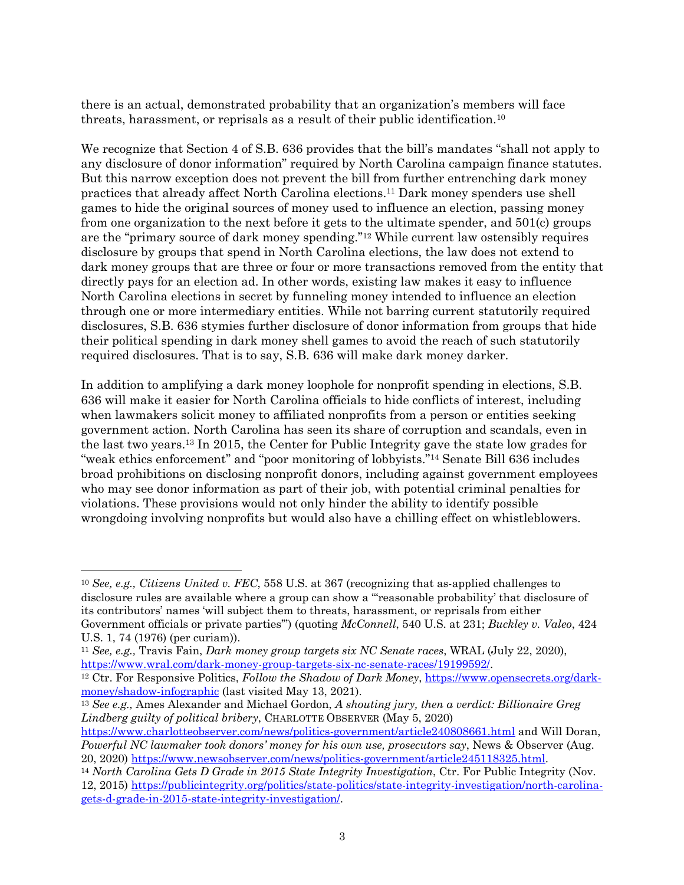there is an actual, demonstrated probability that an organization's members will face threats, harassment, or reprisals as a result of their public identification.10

We recognize that Section 4 of S.B. 636 provides that the bill's mandates "shall not apply to any disclosure of donor information" required by North Carolina campaign finance statutes. But this narrow exception does not prevent the bill from further entrenching dark money practices that already affect North Carolina elections.11 Dark money spenders use shell games to hide the original sources of money used to influence an election, passing money from one organization to the next before it gets to the ultimate spender, and 501(c) groups are the "primary source of dark money spending."12 While current law ostensibly requires disclosure by groups that spend in North Carolina elections, the law does not extend to dark money groups that are three or four or more transactions removed from the entity that directly pays for an election ad. In other words, existing law makes it easy to influence North Carolina elections in secret by funneling money intended to influence an election through one or more intermediary entities. While not barring current statutorily required disclosures, S.B. 636 stymies further disclosure of donor information from groups that hide their political spending in dark money shell games to avoid the reach of such statutorily required disclosures. That is to say, S.B. 636 will make dark money darker.

In addition to amplifying a dark money loophole for nonprofit spending in elections, S.B. 636 will make it easier for North Carolina officials to hide conflicts of interest, including when lawmakers solicit money to affiliated nonprofits from a person or entities seeking government action. North Carolina has seen its share of corruption and scandals, even in the last two years.13 In 2015, the Center for Public Integrity gave the state low grades for "weak ethics enforcement" and "poor monitoring of lobbyists."14 Senate Bill 636 includes broad prohibitions on disclosing nonprofit donors, including against government employees who may see donor information as part of their job, with potential criminal penalties for violations. These provisions would not only hinder the ability to identify possible wrongdoing involving nonprofits but would also have a chilling effect on whistleblowers.

<sup>10</sup> *See, e.g., Citizens United v. FEC*, 558 U.S. at 367 (recognizing that as-applied challenges to disclosure rules are available where a group can show a '"reasonable probability' that disclosure of its contributors' names 'will subject them to threats, harassment, or reprisals from either Government officials or private parties'") (quoting *McConnell*, 540 U.S. at 231; *Buckley v. Valeo*, 424 U.S. 1, 74 (1976) (per curiam)).

<sup>11</sup> *See, e.g.,* Travis Fain, *Dark money group targets six NC Senate races*, WRAL (July 22, 2020), https://www.wral.com/dark-money-group-targets-six-nc-senate-races/19199592/.

<sup>12</sup> Ctr. For Responsive Politics, *Follow the Shadow of Dark Money*, https://www.opensecrets.org/darkmoney/shadow-infographic (last visited May 13, 2021).

<sup>13</sup> *See e.g.,* Ames Alexander and Michael Gordon, *A shouting jury, then a verdict: Billionaire Greg Lindberg guilty of political bribery*, CHARLOTTE OBSERVER (May 5, 2020)

https://www.charlotteobserver.com/news/politics-government/article240808661.html and Will Doran, *Powerful NC lawmaker took donors' money for his own use, prosecutors say*, News & Observer (Aug. 20, 2020) https://www.newsobserver.com/news/politics-government/article245118325.html. 14 *North Carolina Gets D Grade in 2015 State Integrity Investigation*, Ctr. For Public Integrity (Nov.

<sup>12, 2015)</sup> https://publicintegrity.org/politics/state-politics/state-integrity-investigation/north-carolinagets-d-grade-in-2015-state-integrity-investigation/.